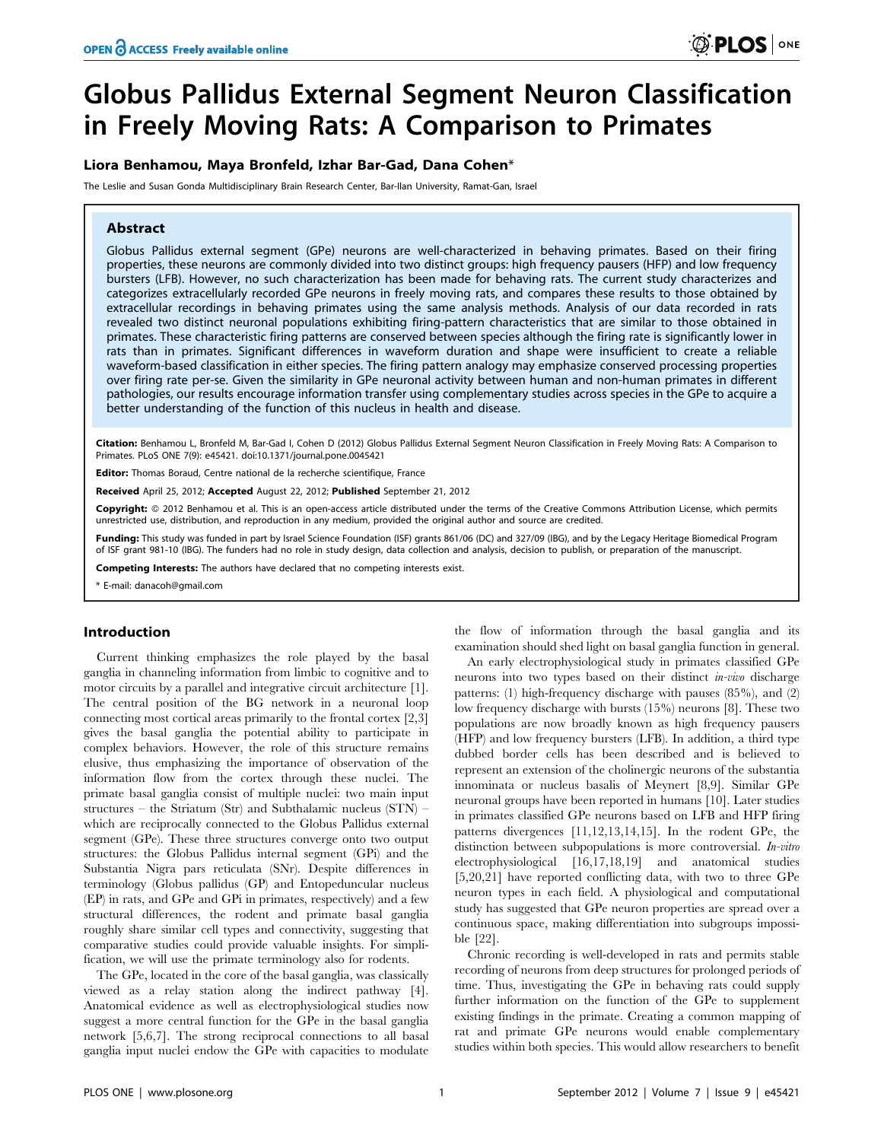# Globus Pallidus External Segment Neuron Classification in Freely Moving Rats: A Comparison to Primates

# Liora Benhamou, Maya Bronfeld, Izhar Bar-Gad, Dana Cohen\*

The Leslie and Susan Gonda Multidisciplinary Brain Research Center, Bar-Ilan University, Ramat-Gan, Israel

## Abstract

Globus Pallidus external segment (GPe) neurons are well-characterized in behaving primates. Based on their firing properties, these neurons are commonly divided into two distinct groups: high frequency pausers (HFP) and low frequency bursters (LFB). However, no such characterization has been made for behaving rats. The current study characterizes and categorizes extracellularly recorded GPe neurons in freely moving rats, and compares these results to those obtained by extracellular recordings in behaving primates using the same analysis methods. Analysis of our data recorded in rats revealed two distinct neuronal populations exhibiting firing-pattern characteristics that are similar to those obtained in primates. These characteristic firing patterns are conserved between species although the firing rate is significantly lower in rats than in primates. Significant differences in waveform duration and shape were insufficient to create a reliable waveform-based classification in either species. The firing pattern analogy may emphasize conserved processing properties over firing rate per-se. Given the similarity in GPe neuronal activity between human and non-human primates in different pathologies, our results encourage information transfer using complementary studies across species in the GPe to acquire a better understanding of the function of this nucleus in health and disease.

Citation: Benhamou L, Bronfeld M, Bar-Gad I, Cohen D (2012) Globus Pallidus External Segment Neuron Classification in Freely Moving Rats: A Comparison to Primates. PLoS ONE 7(9): e45421. doi:10.1371/journal.pone.0045421

Editor: Thomas Boraud, Centre national de la recherche scientifique, France

Received April 25, 2012; Accepted August 22, 2012; Published September 21, 2012

**Copyright:** © 2012 Benhamou et al. This is an open-access article distributed under the terms of the Creative Commons Attribution License, which permits unrestricted use, distribution, and reproduction in any medium, provided the original author and source are credited.

Funding: This study was funded in part by Israel Science Foundation (ISF) grants 861/06 (DC) and 327/09 (IBG), and by the Legacy Heritage Biomedical Program of ISF grant 981-10 (IBG). The funders had no role in study design, data collection and analysis, decision to publish, or preparation of the manuscript.

Competing Interests: The authors have declared that no competing interests exist.

\* E-mail: danacoh@gmail.com

## Introduction

Current thinking emphasizes the role played by the basal ganglia in channeling information from limbic to cognitive and to motor circuits by a parallel and integrative circuit architecture [1]. The central position of the BG network in a neuronal loop connecting most cortical areas primarily to the frontal cortex [2,3] gives the basal ganglia the potential ability to participate in complex behaviors. However, the role of this structure remains elusive, thus emphasizing the importance of observation of the information flow from the cortex through these nuclei. The primate basal ganglia consist of multiple nuclei: two main input structures – the Striatum (Str) and Subthalamic nucleus (STN) – which are reciprocally connected to the Globus Pallidus external segment (GPe). These three structures converge onto two output structures: the Globus Pallidus internal segment (GPi) and the Substantia Nigra pars reticulata (SNr). Despite differences in terminology (Globus pallidus (GP) and Entopeduncular nucleus (EP) in rats, and GPe and GPi in primates, respectively) and a few structural differences, the rodent and primate basal ganglia roughly share similar cell types and connectivity, suggesting that comparative studies could provide valuable insights. For simplification, we will use the primate terminology also for rodents.

The GPe, located in the core of the basal ganglia, was classically viewed as a relay station along the indirect pathway [4]. Anatomical evidence as well as electrophysiological studies now suggest a more central function for the GPe in the basal ganglia network [5,6,7]. The strong reciprocal connections to all basal ganglia input nuclei endow the GPe with capacities to modulate

the flow of information through the basal ganglia and its examination should shed light on basal ganglia function in general.

An early electrophysiological study in primates classified GPe neurons into two types based on their distinct in-vivo discharge patterns: (1) high-frequency discharge with pauses (85%), and (2) low frequency discharge with bursts (15%) neurons [8]. These two populations are now broadly known as high frequency pausers (HFP) and low frequency bursters (LFB). In addition, a third type dubbed border cells has been described and is believed to represent an extension of the cholinergic neurons of the substantia innominata or nucleus basalis of Meynert [8,9]. Similar GPe neuronal groups have been reported in humans [10]. Later studies in primates classified GPe neurons based on LFB and HFP firing patterns divergences [11,12,13,14,15]. In the rodent GPe, the distinction between subpopulations is more controversial. In-vitro electrophysiological [16,17,18,19] and anatomical studies [5,20,21] have reported conflicting data, with two to three GPe neuron types in each field. A physiological and computational study has suggested that GPe neuron properties are spread over a continuous space, making differentiation into subgroups impossible [22].

Chronic recording is well-developed in rats and permits stable recording of neurons from deep structures for prolonged periods of time. Thus, investigating the GPe in behaving rats could supply further information on the function of the GPe to supplement existing findings in the primate. Creating a common mapping of rat and primate GPe neurons would enable complementary studies within both species. This would allow researchers to benefit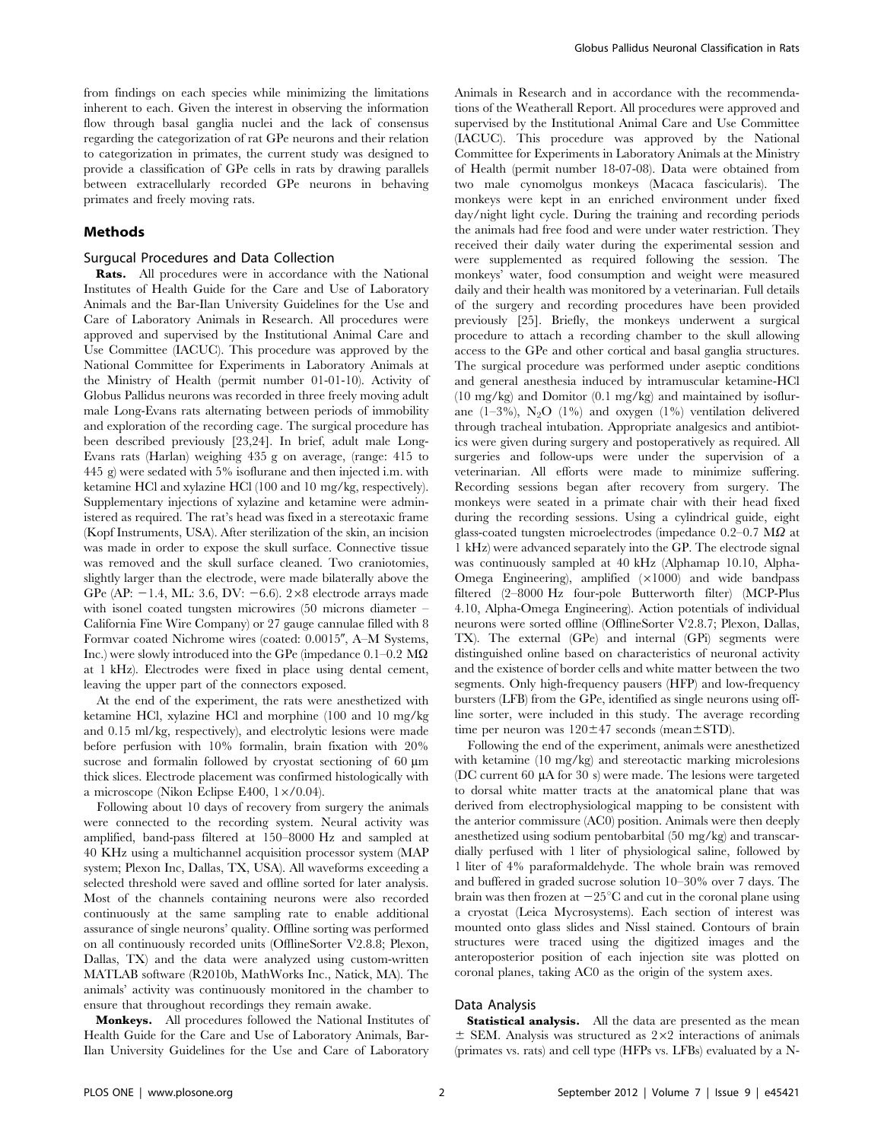from findings on each species while minimizing the limitations inherent to each. Given the interest in observing the information flow through basal ganglia nuclei and the lack of consensus regarding the categorization of rat GPe neurons and their relation to categorization in primates, the current study was designed to provide a classification of GPe cells in rats by drawing parallels between extracellularly recorded GPe neurons in behaving primates and freely moving rats.

## Methods

## Surgucal Procedures and Data Collection

Rats. All procedures were in accordance with the National Institutes of Health Guide for the Care and Use of Laboratory Animals and the Bar-Ilan University Guidelines for the Use and Care of Laboratory Animals in Research. All procedures were approved and supervised by the Institutional Animal Care and Use Committee (IACUC). This procedure was approved by the National Committee for Experiments in Laboratory Animals at the Ministry of Health (permit number 01-01-10). Activity of Globus Pallidus neurons was recorded in three freely moving adult male Long-Evans rats alternating between periods of immobility and exploration of the recording cage. The surgical procedure has been described previously [23,24]. In brief, adult male Long-Evans rats (Harlan) weighing 435 g on average, (range: 415 to 445 g) were sedated with 5% isoflurane and then injected i.m. with ketamine HCl and xylazine HCl (100 and 10 mg/kg, respectively). Supplementary injections of xylazine and ketamine were administered as required. The rat's head was fixed in a stereotaxic frame (Kopf Instruments, USA). After sterilization of the skin, an incision was made in order to expose the skull surface. Connective tissue was removed and the skull surface cleaned. Two craniotomies, slightly larger than the electrode, were made bilaterally above the GPe (AP:  $-1.4$ , ML: 3.6, DV:  $-6.6$ ). 2×8 electrode arrays made with isonel coated tungsten microwires (50 microns diameter – California Fine Wire Company) or 27 gauge cannulae filled with 8 Formvar coated Nichrome wires (coated: 0.0015", A–M Systems, Inc.) were slowly introduced into the GPe (impedance  $0.1-0.2$  M $\Omega$ ) at 1 kHz). Electrodes were fixed in place using dental cement, leaving the upper part of the connectors exposed.

At the end of the experiment, the rats were anesthetized with ketamine HCl, xylazine HCl and morphine (100 and 10 mg/kg and 0.15 ml/kg, respectively), and electrolytic lesions were made before perfusion with 10% formalin, brain fixation with 20% sucrose and formalin followed by cryostat sectioning of 60  $\mu$ m thick slices. Electrode placement was confirmed histologically with a microscope (Nikon Eclipse E400,  $1 \times / 0.04$ ).

Following about 10 days of recovery from surgery the animals were connected to the recording system. Neural activity was amplified, band-pass filtered at 150–8000 Hz and sampled at 40 KHz using a multichannel acquisition processor system (MAP system; Plexon Inc, Dallas, TX, USA). All waveforms exceeding a selected threshold were saved and offline sorted for later analysis. Most of the channels containing neurons were also recorded continuously at the same sampling rate to enable additional assurance of single neurons' quality. Offline sorting was performed on all continuously recorded units (OfflineSorter V2.8.8; Plexon, Dallas, TX) and the data were analyzed using custom-written MATLAB software (R2010b, MathWorks Inc., Natick, MA). The animals' activity was continuously monitored in the chamber to ensure that throughout recordings they remain awake.

Monkeys. All procedures followed the National Institutes of Health Guide for the Care and Use of Laboratory Animals, Bar-Ilan University Guidelines for the Use and Care of Laboratory

Animals in Research and in accordance with the recommendations of the Weatherall Report. All procedures were approved and supervised by the Institutional Animal Care and Use Committee (IACUC). This procedure was approved by the National Committee for Experiments in Laboratory Animals at the Ministry of Health (permit number 18-07-08). Data were obtained from two male cynomolgus monkeys (Macaca fascicularis). The monkeys were kept in an enriched environment under fixed day/night light cycle. During the training and recording periods the animals had free food and were under water restriction. They received their daily water during the experimental session and were supplemented as required following the session. The monkeys' water, food consumption and weight were measured daily and their health was monitored by a veterinarian. Full details of the surgery and recording procedures have been provided previously [25]. Briefly, the monkeys underwent a surgical procedure to attach a recording chamber to the skull allowing access to the GPe and other cortical and basal ganglia structures. The surgical procedure was performed under aseptic conditions and general anesthesia induced by intramuscular ketamine-HCl  $(10 \text{ mg/kg})$  and Domitor  $(0.1 \text{ mg/kg})$  and maintained by isoflurane  $(1-3\%)$ ,  $N_2O$   $(1\%)$  and oxygen  $(1\%)$  ventilation delivered through tracheal intubation. Appropriate analgesics and antibiotics were given during surgery and postoperatively as required. All surgeries and follow-ups were under the supervision of a veterinarian. All efforts were made to minimize suffering. Recording sessions began after recovery from surgery. The monkeys were seated in a primate chair with their head fixed during the recording sessions. Using a cylindrical guide, eight glass-coated tungsten microelectrodes (impedance  $0.2-0.7$  M $\Omega$  at 1 kHz) were advanced separately into the GP. The electrode signal was continuously sampled at 40 kHz (Alphamap 10.10, Alpha-Omega Engineering), amplified  $(\times 1000)$  and wide bandpass filtered (2–8000 Hz four-pole Butterworth filter) (MCP-Plus 4.10, Alpha-Omega Engineering). Action potentials of individual neurons were sorted offline (OfflineSorter V2.8.7; Plexon, Dallas, TX). The external (GPe) and internal (GPi) segments were distinguished online based on characteristics of neuronal activity and the existence of border cells and white matter between the two segments. Only high-frequency pausers (HFP) and low-frequency bursters (LFB) from the GPe, identified as single neurons using offline sorter, were included in this study. The average recording time per neuron was  $120 \pm 47$  seconds (mean $\pm$ STD).

Following the end of the experiment, animals were anesthetized with ketamine (10 mg/kg) and stereotactic marking microlesions (DC current 60  $\mu$ A for 30 s) were made. The lesions were targeted to dorsal white matter tracts at the anatomical plane that was derived from electrophysiological mapping to be consistent with the anterior commissure (AC0) position. Animals were then deeply anesthetized using sodium pentobarbital (50 mg/kg) and transcardially perfused with 1 liter of physiological saline, followed by 1 liter of 4% paraformaldehyde. The whole brain was removed and buffered in graded sucrose solution 10–30% over 7 days. The brain was then frozen at  $-25^{\circ}$ C and cut in the coronal plane using a cryostat (Leica Mycrosystems). Each section of interest was mounted onto glass slides and Nissl stained. Contours of brain structures were traced using the digitized images and the anteroposterior position of each injection site was plotted on coronal planes, taking AC0 as the origin of the system axes.

#### Data Analysis

Statistical analysis. All the data are presented as the mean  $\pm$  SEM. Analysis was structured as 2×2 interactions of animals (primates vs. rats) and cell type (HFPs vs. LFBs) evaluated by a N-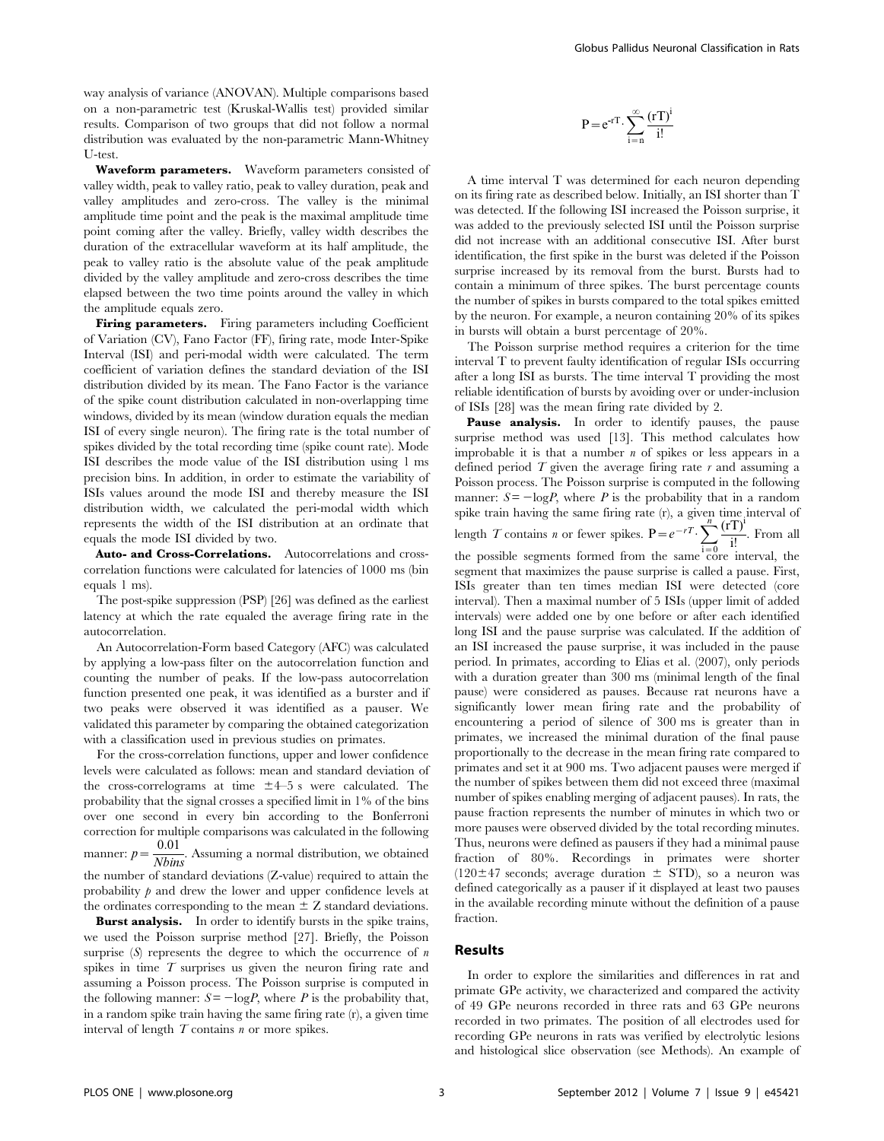way analysis of variance (ANOVAN). Multiple comparisons based on a non-parametric test (Kruskal-Wallis test) provided similar results. Comparison of two groups that did not follow a normal distribution was evaluated by the non-parametric Mann-Whitney U-test.

Waveform parameters. Waveform parameters consisted of valley width, peak to valley ratio, peak to valley duration, peak and valley amplitudes and zero-cross. The valley is the minimal amplitude time point and the peak is the maximal amplitude time point coming after the valley. Briefly, valley width describes the duration of the extracellular waveform at its half amplitude, the peak to valley ratio is the absolute value of the peak amplitude divided by the valley amplitude and zero-cross describes the time elapsed between the two time points around the valley in which the amplitude equals zero.

Firing parameters. Firing parameters including Coefficient of Variation (CV), Fano Factor (FF), firing rate, mode Inter-Spike Interval (ISI) and peri-modal width were calculated. The term coefficient of variation defines the standard deviation of the ISI distribution divided by its mean. The Fano Factor is the variance of the spike count distribution calculated in non-overlapping time windows, divided by its mean (window duration equals the median ISI of every single neuron). The firing rate is the total number of spikes divided by the total recording time (spike count rate). Mode ISI describes the mode value of the ISI distribution using 1 ms precision bins. In addition, in order to estimate the variability of ISIs values around the mode ISI and thereby measure the ISI distribution width, we calculated the peri-modal width which represents the width of the ISI distribution at an ordinate that equals the mode ISI divided by two.

Auto- and Cross-Correlations. Autocorrelations and crosscorrelation functions were calculated for latencies of 1000 ms (bin equals 1 ms).

The post-spike suppression (PSP) [26] was defined as the earliest latency at which the rate equaled the average firing rate in the autocorrelation.

An Autocorrelation-Form based Category (AFC) was calculated by applying a low-pass filter on the autocorrelation function and counting the number of peaks. If the low-pass autocorrelation function presented one peak, it was identified as a burster and if two peaks were observed it was identified as a pauser. We validated this parameter by comparing the obtained categorization with a classification used in previous studies on primates.

For the cross-correlation functions, upper and lower confidence levels were calculated as follows: mean and standard deviation of the cross-correlograms at time  $\pm 4$ –5 s were calculated. The probability that the signal crosses a specified limit in 1% of the bins over one second in every bin according to the Bonferroni correction for multiple comparisons was calculated in the following manner:  $p = \frac{0.01}{N \cdot \text{bins}}$ . Assuming a normal distribution, we obtained the number of standard deviations (Z-value) required to attain the probability  $\hat{p}$  and drew the lower and upper confidence levels at the ordinates corresponding to the mean  $\pm Z$  standard deviations.

Burst analysis. In order to identify bursts in the spike trains, we used the Poisson surprise method [27]. Briefly, the Poisson surprise  $(S)$  represents the degree to which the occurrence of  $n$ spikes in time  $T$  surprises us given the neuron firing rate and assuming a Poisson process. The Poisson surprise is computed in the following manner:  $S = -\log P$ , where P is the probability that, in a random spike train having the same firing rate (r), a given time interval of length  $T$  contains  $n$  or more spikes.

$$
P = e^{-rT} \cdot \sum_{i=n}^{\infty} \frac{(rT)^i}{i!}
$$

A time interval T was determined for each neuron depending on its firing rate as described below. Initially, an ISI shorter than T was detected. If the following ISI increased the Poisson surprise, it was added to the previously selected ISI until the Poisson surprise did not increase with an additional consecutive ISI. After burst identification, the first spike in the burst was deleted if the Poisson surprise increased by its removal from the burst. Bursts had to contain a minimum of three spikes. The burst percentage counts the number of spikes in bursts compared to the total spikes emitted by the neuron. For example, a neuron containing 20% of its spikes in bursts will obtain a burst percentage of 20%.

The Poisson surprise method requires a criterion for the time interval T to prevent faulty identification of regular ISIs occurring after a long ISI as bursts. The time interval T providing the most reliable identification of bursts by avoiding over or under-inclusion of ISIs [28] was the mean firing rate divided by 2.

Pause analysis. In order to identify pauses, the pause surprise method was used [13]. This method calculates how improbable it is that a number  $n$  of spikes or less appears in a defined period  $T$  given the average firing rate  $r$  and assuming a Poisson process. The Poisson surprise is computed in the following manner:  $S = -\log P$ , where P is the probability that in a random spike train having the same firing rate (r), a given time interval of length T contains *n* or fewer spikes.  $P = e^{-rT} \cdot \sum_{n=1}^{\infty}$  $i=0$  $(rT)^{i}$  $\frac{y}{i!}$ . From all the possible segments formed from the same core interval, the segment that maximizes the pause surprise is called a pause. First, ISIs greater than ten times median ISI were detected (core interval). Then a maximal number of 5 ISIs (upper limit of added intervals) were added one by one before or after each identified long ISI and the pause surprise was calculated. If the addition of an ISI increased the pause surprise, it was included in the pause period. In primates, according to Elias et al. (2007), only periods with a duration greater than 300 ms (minimal length of the final pause) were considered as pauses. Because rat neurons have a significantly lower mean firing rate and the probability of encountering a period of silence of 300 ms is greater than in primates, we increased the minimal duration of the final pause proportionally to the decrease in the mean firing rate compared to primates and set it at 900 ms. Two adjacent pauses were merged if the number of spikes between them did not exceed three (maximal number of spikes enabling merging of adjacent pauses). In rats, the pause fraction represents the number of minutes in which two or more pauses were observed divided by the total recording minutes. Thus, neurons were defined as pausers if they had a minimal pause fraction of 80%. Recordings in primates were shorter  $(120\pm47 \text{ seconds}; \text{ average duration } \pm \text{ STD}),$  so a neuron was defined categorically as a pauser if it displayed at least two pauses in the available recording minute without the definition of a pause fraction.

## Results

In order to explore the similarities and differences in rat and primate GPe activity, we characterized and compared the activity of 49 GPe neurons recorded in three rats and 63 GPe neurons recorded in two primates. The position of all electrodes used for recording GPe neurons in rats was verified by electrolytic lesions and histological slice observation (see Methods). An example of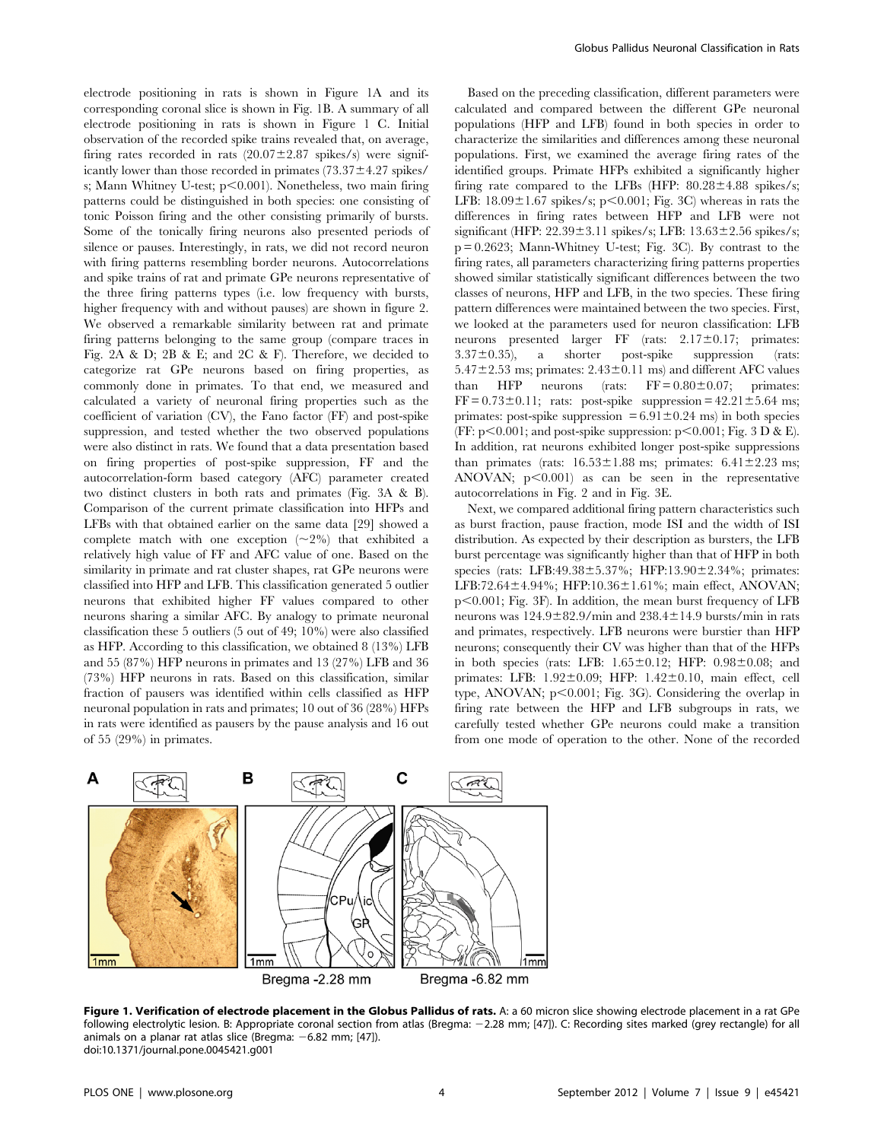electrode positioning in rats is shown in Figure 1A and its corresponding coronal slice is shown in Fig. 1B. A summary of all electrode positioning in rats is shown in Figure 1 C. Initial observation of the recorded spike trains revealed that, on average, firing rates recorded in rats  $(20.07\pm2.87 \text{ spikes/s})$  were significantly lower than those recorded in primates  $(73.37 \pm 4.27$  spikes/ s; Mann Whitney U-test;  $p<0.001$ ). Nonetheless, two main firing patterns could be distinguished in both species: one consisting of tonic Poisson firing and the other consisting primarily of bursts. Some of the tonically firing neurons also presented periods of silence or pauses. Interestingly, in rats, we did not record neuron with firing patterns resembling border neurons. Autocorrelations and spike trains of rat and primate GPe neurons representative of the three firing patterns types (i.e. low frequency with bursts, higher frequency with and without pauses) are shown in figure 2. We observed a remarkable similarity between rat and primate firing patterns belonging to the same group (compare traces in Fig. 2A & D; 2B & E; and 2C & F). Therefore, we decided to categorize rat GPe neurons based on firing properties, as commonly done in primates. To that end, we measured and calculated a variety of neuronal firing properties such as the coefficient of variation (CV), the Fano factor (FF) and post-spike suppression, and tested whether the two observed populations were also distinct in rats. We found that a data presentation based on firing properties of post-spike suppression, FF and the autocorrelation-form based category (AFC) parameter created two distinct clusters in both rats and primates (Fig. 3A & B). Comparison of the current primate classification into HFPs and LFBs with that obtained earlier on the same data [29] showed a complete match with one exception  $(\sim 2\%)$  that exhibited a relatively high value of FF and AFC value of one. Based on the similarity in primate and rat cluster shapes, rat GPe neurons were classified into HFP and LFB. This classification generated 5 outlier neurons that exhibited higher FF values compared to other neurons sharing a similar AFC. By analogy to primate neuronal classification these 5 outliers (5 out of 49; 10%) were also classified as HFP. According to this classification, we obtained 8 (13%) LFB and 55 (87%) HFP neurons in primates and 13 (27%) LFB and 36 (73%) HFP neurons in rats. Based on this classification, similar fraction of pausers was identified within cells classified as HFP neuronal population in rats and primates; 10 out of 36 (28%) HFPs in rats were identified as pausers by the pause analysis and 16 out of 55 (29%) in primates.

Based on the preceding classification, different parameters were calculated and compared between the different GPe neuronal populations (HFP and LFB) found in both species in order to characterize the similarities and differences among these neuronal populations. First, we examined the average firing rates of the identified groups. Primate HFPs exhibited a significantly higher firing rate compared to the LFBs (HFP:  $80.28 \pm 4.88$  spikes/s; LFB:  $18.09 \pm 1.67$  spikes/s; p $\leq 0.001$ ; Fig. 3C) whereas in rats the differences in firing rates between HFP and LFB were not significant (HFP:  $22.39 \pm 3.11$  spikes/s; LFB:  $13.63 \pm 2.56$  spikes/s;  $p = 0.2623$ ; Mann-Whitney U-test; Fig. 3C). By contrast to the firing rates, all parameters characterizing firing patterns properties showed similar statistically significant differences between the two classes of neurons, HFP and LFB, in the two species. These firing pattern differences were maintained between the two species. First, we looked at the parameters used for neuron classification: LFB neurons presented larger FF (rats:  $2.17 \pm 0.17$ ; primates:  $3.37\pm0.35$ ), a shorter post-spike suppression (rats:  $5.47\pm2.53$  ms; primates:  $2.43\pm0.11$  ms) and different AFC values than HFP neurons (rats:  $FF = 0.80 \pm 0.07$ ; primates:  $FF = 0.73 \pm 0.11$ ; rats: post-spike suppression =  $42.21 \pm 5.64$  ms; primates: post-spike suppression  $= 6.91 \pm 0.24$  ms) in both species (FF:  $p<0.001$ ; and post-spike suppression:  $p<0.001$ ; Fig. 3 D & E). In addition, rat neurons exhibited longer post-spike suppressions than primates (rats:  $16.53 \pm 1.88$  ms; primates:  $6.41 \pm 2.23$  ms; ANOVAN;  $p<0.001$  as can be seen in the representative autocorrelations in Fig. 2 and in Fig. 3E.

Next, we compared additional firing pattern characteristics such as burst fraction, pause fraction, mode ISI and the width of ISI distribution. As expected by their description as bursters, the LFB burst percentage was significantly higher than that of HFP in both species (rats: LFB:49.38 $\pm$ 5.37%; HFP:13.90 $\pm$ 2.34%; primates: LFB:72.64 $\pm$ 4.94%; HFP:10.36 $\pm$ 1.61%; main effect, ANOVAN;  $p<0.001$ ; Fig. 3F). In addition, the mean burst frequency of LFB neurons was  $124.9\pm82.9$ /min and  $238.4\pm14.9$  bursts/min in rats and primates, respectively. LFB neurons were burstier than HFP neurons; consequently their CV was higher than that of the HFPs in both species (rats: LFB:  $1.65 \pm 0.12$ ; HFP:  $0.98 \pm 0.08$ ; and primates: LFB:  $1.92 \pm 0.09$ ; HFP:  $1.42 \pm 0.10$ , main effect, cell type, ANOVAN;  $p<0.001$ ; Fig. 3G). Considering the overlap in firing rate between the HFP and LFB subgroups in rats, we carefully tested whether GPe neurons could make a transition from one mode of operation to the other. None of the recorded



Figure 1. Verification of electrode placement in the Globus Pallidus of rats. A: a 60 micron slice showing electrode placement in a rat GPe following electrolytic lesion. B: Appropriate coronal section from atlas (Bregma: -2.28 mm; [47]). C: Recording sites marked (grey rectangle) for all animals on a planar rat atlas slice (Bregma:  $-6.82$  mm; [47]). doi:10.1371/journal.pone.0045421.g001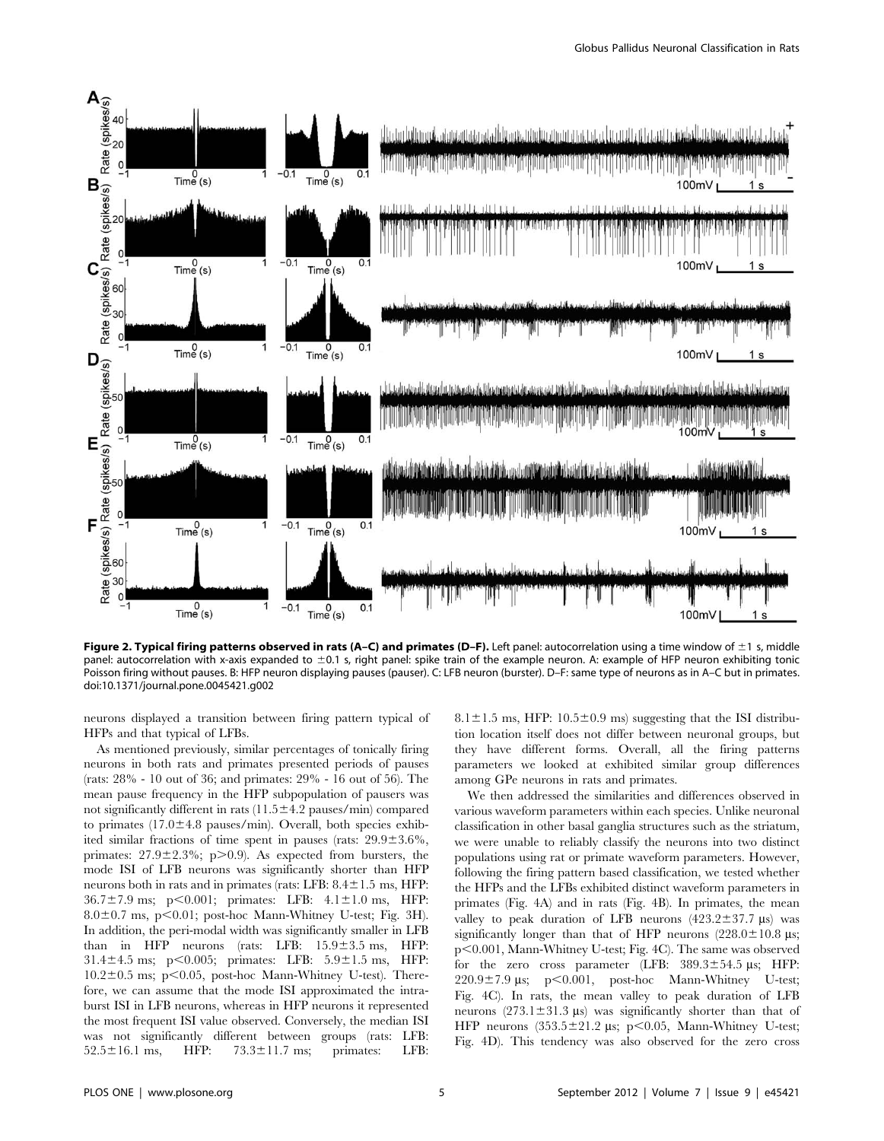

Figure 2. Typical firing patterns observed in rats (A–C) and primates (D–F). Left panel: autocorrelation using a time window of  $\pm 1$  s, middle panel: autocorrelation with x-axis expanded to ±0.1 s, right panel: spike train of the example neuron. A: example of HFP neuron exhibiting tonic Poisson firing without pauses. B: HFP neuron displaying pauses (pauser). C: LFB neuron (burster). D–F: same type of neurons as in A–C but in primates. doi:10.1371/journal.pone.0045421.g002

neurons displayed a transition between firing pattern typical of HFPs and that typical of LFBs.

As mentioned previously, similar percentages of tonically firing neurons in both rats and primates presented periods of pauses (rats: 28% - 10 out of 36; and primates: 29% - 16 out of 56). The mean pause frequency in the HFP subpopulation of pausers was not significantly different in rats  $(11.5 \pm 4.2$  pauses/min) compared to primates  $(17.0 \pm 4.8 \text{ pauses/min})$ . Overall, both species exhibited similar fractions of time spent in pauses (rats:  $29.9 \pm 3.6\%$ , primates:  $27.9 \pm 2.3\%$ ; p $> 0.9$ ). As expected from bursters, the mode ISI of LFB neurons was significantly shorter than HFP neurons both in rats and in primates (rats: LFB:  $8.4 \pm 1.5$  ms, HFP:  $36.7 \pm 7.9$  ms; p $\leq 0.001$ ; primates: LFB:  $4.1 \pm 1.0$  ms, HFP:  $8.0\pm0.7$  ms, p $< 0.01$ ; post-hoc Mann-Whitney U-test; Fig. 3H). In addition, the peri-modal width was significantly smaller in LFB than in HFP neurons (rats: LFB:  $15.9 \pm 3.5$  ms, HFP: 31.4 $\pm$ 4.5 ms; p $\leq$ 0.005; primates: LFB: 5.9 $\pm$ 1.5 ms, HFP:  $10.2 \pm 0.5$  ms; p $\leq 0.05$ , post-hoc Mann-Whitney U-test). Therefore, we can assume that the mode ISI approximated the intraburst ISI in LFB neurons, whereas in HFP neurons it represented the most frequent ISI value observed. Conversely, the median ISI was not significantly different between groups (rats: LFB:  $52.5 \pm 16.1$  ms, HFP:  $73.3 \pm 11.7$  ms; primates: LFB:

 $8.1 \pm 1.5$  ms, HFP:  $10.5 \pm 0.9$  ms) suggesting that the ISI distribution location itself does not differ between neuronal groups, but they have different forms. Overall, all the firing patterns parameters we looked at exhibited similar group differences among GPe neurons in rats and primates.

We then addressed the similarities and differences observed in various waveform parameters within each species. Unlike neuronal classification in other basal ganglia structures such as the striatum, we were unable to reliably classify the neurons into two distinct populations using rat or primate waveform parameters. However, following the firing pattern based classification, we tested whether the HFPs and the LFBs exhibited distinct waveform parameters in primates (Fig. 4A) and in rats (Fig. 4B). In primates, the mean valley to peak duration of LFB neurons  $(423.2 \pm 37.7 \,\mu s)$  was significantly longer than that of HFP neurons  $(228.0 \pm 10.8 \,\mu s)$ ; p<0.001, Mann-Whitney U-test; Fig. 4C). The same was observed for the zero cross parameter (LFB:  $389.3 \pm 54.5$  µs; HFP:  $220.9 \pm 7.9$  µs; p<0.001, post-hoc Mann-Whitney U-test; Fig. 4C). In rats, the mean valley to peak duration of LFB neurons  $(273.1 \pm 31.3 \text{ }\mu\text{s})$  was significantly shorter than that of HFP neurons  $(353.5 \pm 21.2 \text{ }\mu\text{s}; \text{ }p<0.05, \text{ Mann-Whitney } U\text{-test};$ Fig. 4D). This tendency was also observed for the zero cross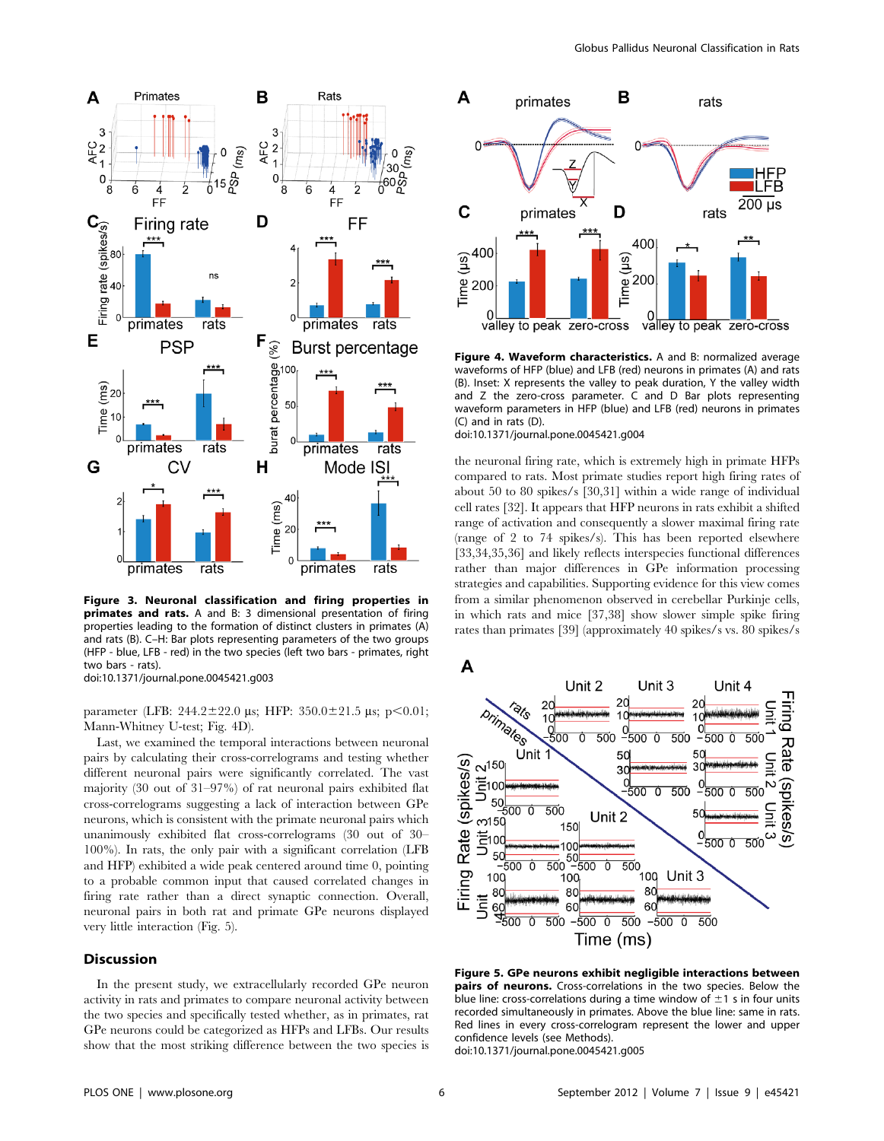

Figure 3. Neuronal classification and firing properties in primates and rats. A and B: 3 dimensional presentation of firing properties leading to the formation of distinct clusters in primates (A) and rats (B). C–H: Bar plots representing parameters of the two groups (HFP - blue, LFB - red) in the two species (left two bars - primates, right two bars - rats). doi:10.1371/journal.pone.0045421.g003

parameter (LFB:  $244.2 \pm 22.0$  us; HFP:  $350.0 \pm 21.5$  us; p $\leq 0.01$ ; Mann-Whitney U-test; Fig. 4D).

Last, we examined the temporal interactions between neuronal pairs by calculating their cross-correlograms and testing whether different neuronal pairs were significantly correlated. The vast majority (30 out of 31–97%) of rat neuronal pairs exhibited flat cross-correlograms suggesting a lack of interaction between GPe neurons, which is consistent with the primate neuronal pairs which unanimously exhibited flat cross-correlograms (30 out of 30– 100%). In rats, the only pair with a significant correlation (LFB and HFP) exhibited a wide peak centered around time 0, pointing to a probable common input that caused correlated changes in firing rate rather than a direct synaptic connection. Overall, neuronal pairs in both rat and primate GPe neurons displayed very little interaction (Fig. 5).

## Discussion

In the present study, we extracellularly recorded GPe neuron activity in rats and primates to compare neuronal activity between the two species and specifically tested whether, as in primates, rat GPe neurons could be categorized as HFPs and LFBs. Our results show that the most striking difference between the two species is



Figure 4. Waveform characteristics. A and B: normalized average waveforms of HFP (blue) and LFB (red) neurons in primates (A) and rats (B). Inset: X represents the valley to peak duration, Y the valley width and Z the zero-cross parameter. C and D Bar plots representing waveform parameters in HFP (blue) and LFB (red) neurons in primates (C) and in rats (D).

## doi:10.1371/journal.pone.0045421.g004

the neuronal firing rate, which is extremely high in primate HFPs compared to rats. Most primate studies report high firing rates of about 50 to 80 spikes/s [30,31] within a wide range of individual cell rates [32]. It appears that HFP neurons in rats exhibit a shifted range of activation and consequently a slower maximal firing rate (range of 2 to 74 spikes/s). This has been reported elsewhere [33,34,35,36] and likely reflects interspecies functional differences rather than major differences in GPe information processing strategies and capabilities. Supporting evidence for this view comes from a similar phenomenon observed in cerebellar Purkinje cells, in which rats and mice [37,38] show slower simple spike firing rates than primates [39] (approximately 40 spikes/s vs. 80 spikes/s



Figure 5. GPe neurons exhibit negligible interactions between pairs of neurons. Cross-correlations in the two species. Below the blue line: cross-correlations during a time window of  $\pm 1$  s in four units recorded simultaneously in primates. Above the blue line: same in rats. Red lines in every cross-correlogram represent the lower and upper confidence levels (see Methods).

doi:10.1371/journal.pone.0045421.g005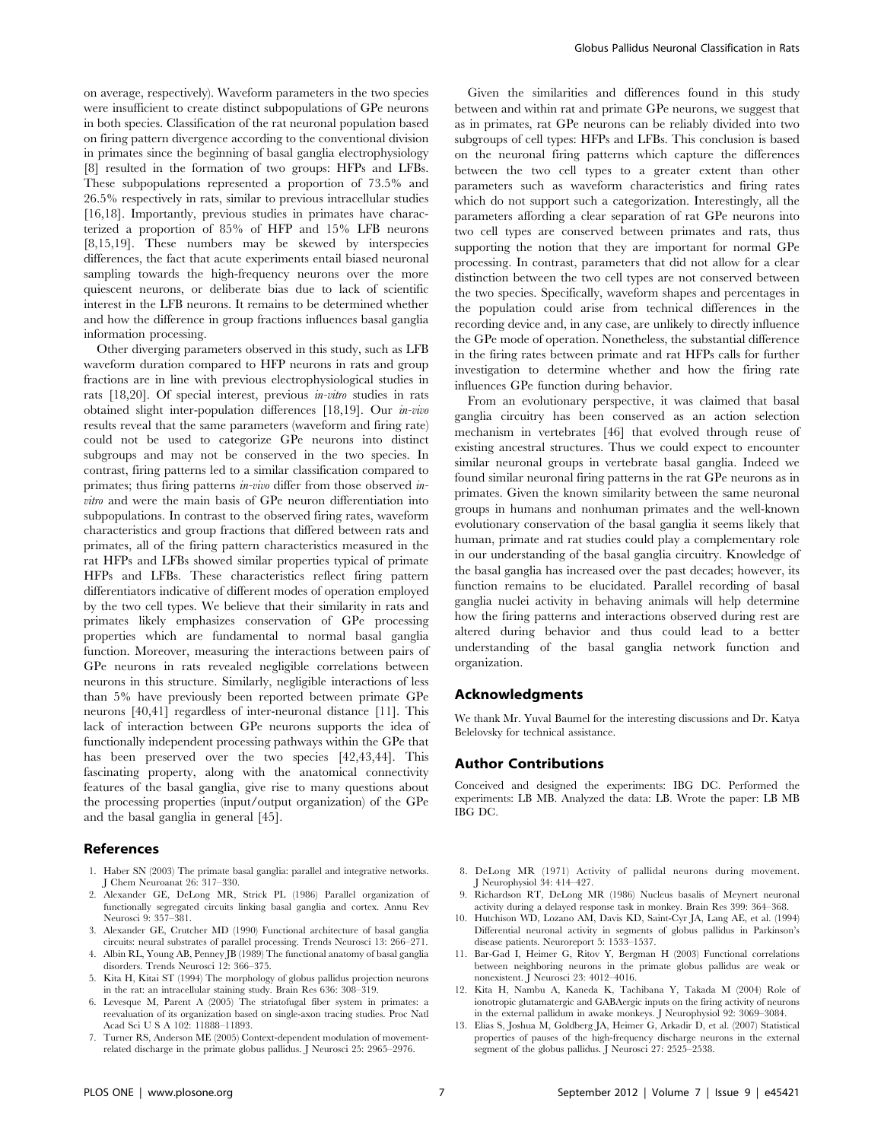on average, respectively). Waveform parameters in the two species were insufficient to create distinct subpopulations of GPe neurons in both species. Classification of the rat neuronal population based on firing pattern divergence according to the conventional division in primates since the beginning of basal ganglia electrophysiology [8] resulted in the formation of two groups: HFPs and LFBs. These subpopulations represented a proportion of 73.5% and 26.5% respectively in rats, similar to previous intracellular studies [16,18]. Importantly, previous studies in primates have characterized a proportion of 85% of HFP and 15% LFB neurons [8,15,19]. These numbers may be skewed by interspecies differences, the fact that acute experiments entail biased neuronal sampling towards the high-frequency neurons over the more quiescent neurons, or deliberate bias due to lack of scientific interest in the LFB neurons. It remains to be determined whether and how the difference in group fractions influences basal ganglia information processing.

Other diverging parameters observed in this study, such as LFB waveform duration compared to HFP neurons in rats and group fractions are in line with previous electrophysiological studies in rats [18,20]. Of special interest, previous in-vitro studies in rats obtained slight inter-population differences [18,19]. Our in-vivo results reveal that the same parameters (waveform and firing rate) could not be used to categorize GPe neurons into distinct subgroups and may not be conserved in the two species. In contrast, firing patterns led to a similar classification compared to primates; thus firing patterns *in-vivo* differ from those observed *in*vitro and were the main basis of GPe neuron differentiation into subpopulations. In contrast to the observed firing rates, waveform characteristics and group fractions that differed between rats and primates, all of the firing pattern characteristics measured in the rat HFPs and LFBs showed similar properties typical of primate HFPs and LFBs. These characteristics reflect firing pattern differentiators indicative of different modes of operation employed by the two cell types. We believe that their similarity in rats and primates likely emphasizes conservation of GPe processing properties which are fundamental to normal basal ganglia function. Moreover, measuring the interactions between pairs of GPe neurons in rats revealed negligible correlations between neurons in this structure. Similarly, negligible interactions of less than 5% have previously been reported between primate GPe neurons [40,41] regardless of inter-neuronal distance [11]. This lack of interaction between GPe neurons supports the idea of functionally independent processing pathways within the GPe that has been preserved over the two species [42,43,44]. This fascinating property, along with the anatomical connectivity features of the basal ganglia, give rise to many questions about the processing properties (input/output organization) of the GPe and the basal ganglia in general [45].

# References

- 1. Haber SN (2003) The primate basal ganglia: parallel and integrative networks. J Chem Neuroanat 26: 317–330.
- 2. Alexander GE, DeLong MR, Strick PL (1986) Parallel organization of functionally segregated circuits linking basal ganglia and cortex. Annu Rev Neurosci 9: 357–381.
- 3. Alexander GE, Crutcher MD (1990) Functional architecture of basal ganglia circuits: neural substrates of parallel processing. Trends Neurosci 13: 266–271.
- 4. Albin RL, Young AB, Penney JB (1989) The functional anatomy of basal ganglia disorders. Trends Neurosci 12: 366–375.
- 5. Kita H, Kitai ST (1994) The morphology of globus pallidus projection neurons in the rat: an intracellular staining study. Brain Res 636: 308–319.
- 6. Levesque M, Parent A (2005) The striatofugal fiber system in primates: a reevaluation of its organization based on single-axon tracing studies. Proc Natl Acad Sci U S A 102: 11888–11893.
- 7. Turner RS, Anderson ME (2005) Context-dependent modulation of movementrelated discharge in the primate globus pallidus. J Neurosci 25: 2965–2976.

Given the similarities and differences found in this study between and within rat and primate GPe neurons, we suggest that as in primates, rat GPe neurons can be reliably divided into two subgroups of cell types: HFPs and LFBs. This conclusion is based on the neuronal firing patterns which capture the differences between the two cell types to a greater extent than other parameters such as waveform characteristics and firing rates which do not support such a categorization. Interestingly, all the parameters affording a clear separation of rat GPe neurons into two cell types are conserved between primates and rats, thus supporting the notion that they are important for normal GPe processing. In contrast, parameters that did not allow for a clear distinction between the two cell types are not conserved between the two species. Specifically, waveform shapes and percentages in the population could arise from technical differences in the recording device and, in any case, are unlikely to directly influence the GPe mode of operation. Nonetheless, the substantial difference in the firing rates between primate and rat HFPs calls for further investigation to determine whether and how the firing rate influences GPe function during behavior.

From an evolutionary perspective, it was claimed that basal ganglia circuitry has been conserved as an action selection mechanism in vertebrates [46] that evolved through reuse of existing ancestral structures. Thus we could expect to encounter similar neuronal groups in vertebrate basal ganglia. Indeed we found similar neuronal firing patterns in the rat GPe neurons as in primates. Given the known similarity between the same neuronal groups in humans and nonhuman primates and the well-known evolutionary conservation of the basal ganglia it seems likely that human, primate and rat studies could play a complementary role in our understanding of the basal ganglia circuitry. Knowledge of the basal ganglia has increased over the past decades; however, its function remains to be elucidated. Parallel recording of basal ganglia nuclei activity in behaving animals will help determine how the firing patterns and interactions observed during rest are altered during behavior and thus could lead to a better understanding of the basal ganglia network function and organization.

## Acknowledgments

We thank Mr. Yuval Baumel for the interesting discussions and Dr. Katya Belelovsky for technical assistance.

#### Author Contributions

Conceived and designed the experiments: IBG DC. Performed the experiments: LB MB. Analyzed the data: LB. Wrote the paper: LB MB IBG DC.

- 8. DeLong MR (1971) Activity of pallidal neurons during movement. J Neurophysiol 34: 414–427.
- 9. Richardson RT, DeLong MR (1986) Nucleus basalis of Meynert neuronal activity during a delayed response task in monkey. Brain Res 399: 364–368.
- 10. Hutchison WD, Lozano AM, Davis KD, Saint-Cyr JA, Lang AE, et al. (1994) Differential neuronal activity in segments of globus pallidus in Parkinson's disease patients. Neuroreport 5: 1533–1537.
- 11. Bar-Gad I, Heimer G, Ritov Y, Bergman H (2003) Functional correlations between neighboring neurons in the primate globus pallidus are weak or nonexistent. J Neurosci 23: 4012–4016.
- 12. Kita H, Nambu A, Kaneda K, Tachibana Y, Takada M (2004) Role of ionotropic glutamatergic and GABAergic inputs on the firing activity of neurons in the external pallidum in awake monkeys. J Neurophysiol 92: 3069–3084.
- 13. Elias S, Joshua M, Goldberg JA, Heimer G, Arkadir D, et al. (2007) Statistical properties of pauses of the high-frequency discharge neurons in the external segment of the globus pallidus. J Neurosci 27: 2525–2538.